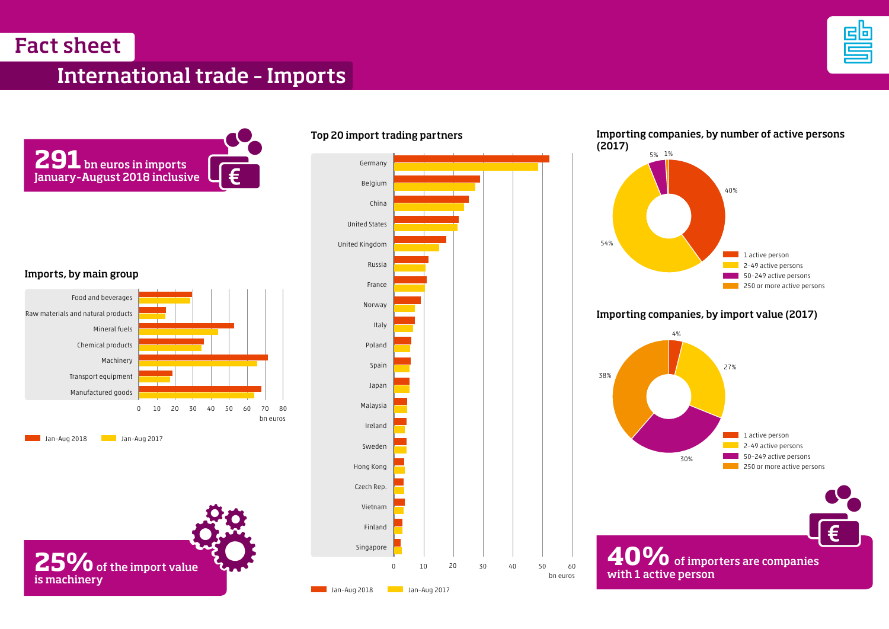Fact sheet

## International trade – Imports





Imports, by main group





0 10 20 30 40 50 60 Singapore Finland Vietnam Czech Rep. Hong Kong Sweden Ireland Malaysia Japan Spain Poland Italy Norway France Russia United Kingdom United States China Belgium Germany

Top 20 import trading partners

Jan–Aug 2018 Jan–Aug 2017